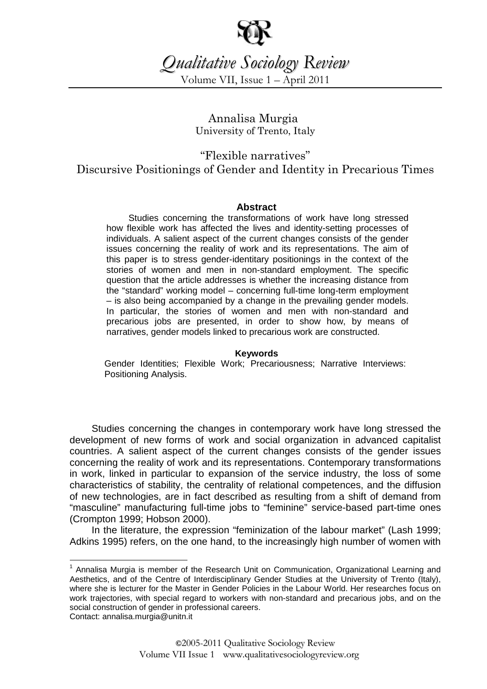

*Qualitative Sociology Review*

Volume VII, Issue 1 – April 2011

Annalisa Murgia<sup>1</sup> University of Trento, Italy

"Flexible narratives" Discursive Positionings of Gender and Identity in Precarious Times

## **Abstract**

Studies concerning the transformations of work have long stressed how flexible work has affected the lives and identity-setting processes of individuals. A salient aspect of the current changes consists of the gender issues concerning the reality of work and its representations. The aim of this paper is to stress gender-identitary positionings in the context of the stories of women and men in non-standard employment. The specific question that the article addresses is whether the increasing distance from the "standard" working model – concerning full-time long-term employment – is also being accompanied by a change in the prevailing gender models. In particular, the stories of women and men with non-standard and precarious jobs are presented, in order to show how, by means of narratives, gender models linked to precarious work are constructed.

#### **Keywords**

Gender Identities; Flexible Work; Precariousness; Narrative Interviews: Positioning Analysis.

Studies concerning the changes in contemporary work have long stressed the development of new forms of work and social organization in advanced capitalist countries. A salient aspect of the current changes consists of the gender issues concerning the reality of work and its representations. Contemporary transformations in work, linked in particular to expansion of the service industry, the loss of some characteristics of stability, the centrality of relational competences, and the diffusion of new technologies, are in fact described as resulting from a shift of demand from "masculine" manufacturing full-time jobs to "feminine" service-based part-time ones (Crompton 1999; Hobson 2000).

In the literature, the expression "feminization of the labour market" (Lash 1999; Adkins 1995) refers, on the one hand, to the increasingly high number of women with

 $\overline{a}$ 

<sup>&</sup>lt;sup>1</sup> Annalisa Murgia is member of the Research Unit on Communication, Organizational Learning and Aesthetics, and of the Centre of Interdisciplinary Gender Studies at the University of Trento (Italy), where she is lecturer for the Master in Gender Policies in the Labour World. Her researches focus on work trajectories, with special regard to workers with non-standard and precarious jobs, and on the social construction of gender in professional careers. Contact: annalisa.murgia@unitn.it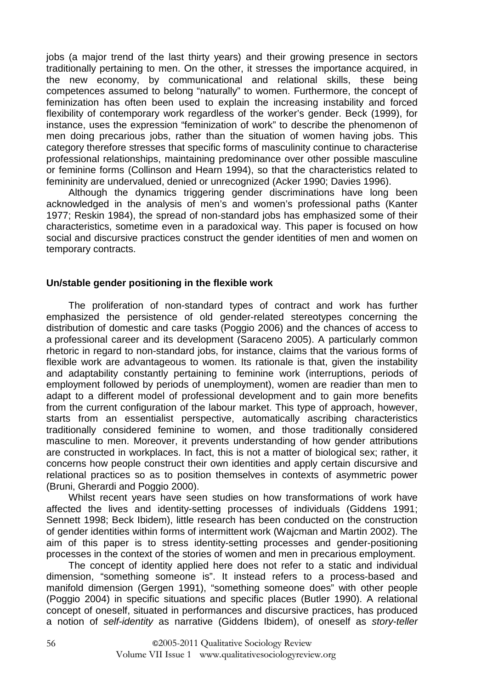jobs (a major trend of the last thirty years) and their growing presence in sectors traditionally pertaining to men. On the other, it stresses the importance acquired, in the new economy, by communicational and relational skills, these being competences assumed to belong "naturally" to women. Furthermore, the concept of feminization has often been used to explain the increasing instability and forced flexibility of contemporary work regardless of the worker's gender. Beck (1999), for instance, uses the expression "feminization of work" to describe the phenomenon of men doing precarious jobs, rather than the situation of women having jobs. This category therefore stresses that specific forms of masculinity continue to characterise professional relationships, maintaining predominance over other possible masculine or feminine forms (Collinson and Hearn 1994), so that the characteristics related to femininity are undervalued, denied or unrecognized (Acker 1990; Davies 1996).

Although the dynamics triggering gender discriminations have long been acknowledged in the analysis of men's and women's professional paths (Kanter 1977; Reskin 1984), the spread of non-standard jobs has emphasized some of their characteristics, sometime even in a paradoxical way. This paper is focused on how social and discursive practices construct the gender identities of men and women on temporary contracts.

## **Un/stable gender positioning in the flexible work**

The proliferation of non-standard types of contract and work has further emphasized the persistence of old gender-related stereotypes concerning the distribution of domestic and care tasks (Poggio 2006) and the chances of access to a professional career and its development (Saraceno 2005). A particularly common rhetoric in regard to non-standard jobs, for instance, claims that the various forms of flexible work are advantageous to women. Its rationale is that, given the instability and adaptability constantly pertaining to feminine work (interruptions, periods of employment followed by periods of unemployment), women are readier than men to adapt to a different model of professional development and to gain more benefits from the current configuration of the labour market. This type of approach, however, starts from an essentialist perspective, automatically ascribing characteristics traditionally considered feminine to women, and those traditionally considered masculine to men. Moreover, it prevents understanding of how gender attributions are constructed in workplaces. In fact, this is not a matter of biological sex; rather, it concerns how people construct their own identities and apply certain discursive and relational practices so as to position themselves in contexts of asymmetric power (Bruni, Gherardi and Poggio 2000).

Whilst recent years have seen studies on how transformations of work have affected the lives and identity-setting processes of individuals (Giddens 1991; Sennett 1998; Beck Ibidem), little research has been conducted on the construction of gender identities within forms of intermittent work (Wajcman and Martin 2002). The aim of this paper is to stress identity-setting processes and gender-positioning processes in the context of the stories of women and men in precarious employment.

The concept of identity applied here does not refer to a static and individual dimension, "something someone is". It instead refers to a process-based and manifold dimension (Gergen 1991), "something someone does" with other people (Poggio 2004) in specific situations and specific places (Butler 1990). A relational concept of oneself, situated in performances and discursive practices, has produced a notion of self-identity as narrative (Giddens Ibidem), of oneself as story-teller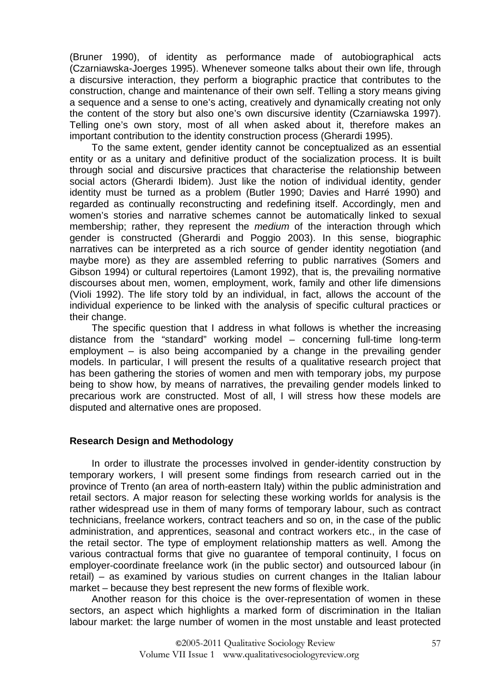(Bruner 1990), of identity as performance made of autobiographical acts (Czarniawska-Joerges 1995). Whenever someone talks about their own life, through a discursive interaction, they perform a biographic practice that contributes to the construction, change and maintenance of their own self. Telling a story means giving a sequence and a sense to one's acting, creatively and dynamically creating not only the content of the story but also one's own discursive identity (Czarniawska 1997). Telling one's own story, most of all when asked about it, therefore makes an important contribution to the identity construction process (Gherardi 1995).

To the same extent, gender identity cannot be conceptualized as an essential entity or as a unitary and definitive product of the socialization process. It is built through social and discursive practices that characterise the relationship between social actors (Gherardi Ibidem). Just like the notion of individual identity, gender identity must be turned as a problem (Butler 1990; Davies and Harré 1990) and regarded as continually reconstructing and redefining itself. Accordingly, men and women's stories and narrative schemes cannot be automatically linked to sexual membership; rather, they represent the *medium* of the interaction through which gender is constructed (Gherardi and Poggio 2003). In this sense, biographic narratives can be interpreted as a rich source of gender identity negotiation (and maybe more) as they are assembled referring to public narratives (Somers and Gibson 1994) or cultural repertoires (Lamont 1992), that is, the prevailing normative discourses about men, women, employment, work, family and other life dimensions (Violi 1992). The life story told by an individual, in fact, allows the account of the individual experience to be linked with the analysis of specific cultural practices or their change.

The specific question that I address in what follows is whether the increasing distance from the "standard" working model – concerning full-time long-term employment – is also being accompanied by a change in the prevailing gender models. In particular, I will present the results of a qualitative research project that has been gathering the stories of women and men with temporary jobs, my purpose being to show how, by means of narratives, the prevailing gender models linked to precarious work are constructed. Most of all, I will stress how these models are disputed and alternative ones are proposed.

# **Research Design and Methodology**

In order to illustrate the processes involved in gender-identity construction by temporary workers, I will present some findings from research carried out in the province of Trento (an area of north-eastern Italy) within the public administration and retail sectors. A major reason for selecting these working worlds for analysis is the rather widespread use in them of many forms of temporary labour, such as contract technicians, freelance workers, contract teachers and so on, in the case of the public administration, and apprentices, seasonal and contract workers etc., in the case of the retail sector. The type of employment relationship matters as well. Among the various contractual forms that give no guarantee of temporal continuity, I focus on employer-coordinate freelance work (in the public sector) and outsourced labour (in retail) – as examined by various studies on current changes in the Italian labour market – because they best represent the new forms of flexible work.

Another reason for this choice is the over-representation of women in these sectors, an aspect which highlights a marked form of discrimination in the Italian labour market: the large number of women in the most unstable and least protected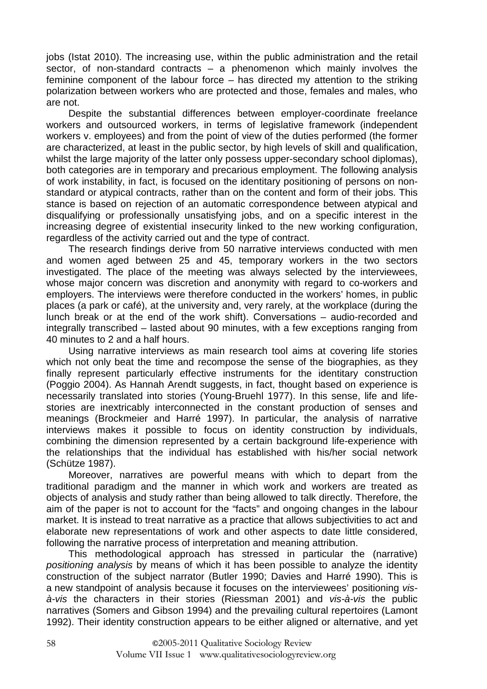jobs (Istat 2010). The increasing use, within the public administration and the retail sector, of non-standard contracts – a phenomenon which mainly involves the feminine component of the labour force – has directed my attention to the striking polarization between workers who are protected and those, females and males, who are not.

Despite the substantial differences between employer-coordinate freelance workers and outsourced workers, in terms of legislative framework (independent workers v. employees) and from the point of view of the duties performed (the former are characterized, at least in the public sector, by high levels of skill and qualification, whilst the large majority of the latter only possess upper-secondary school diplomas), both categories are in temporary and precarious employment. The following analysis of work instability, in fact, is focused on the identitary positioning of persons on nonstandard or atypical contracts, rather than on the content and form of their jobs. This stance is based on rejection of an automatic correspondence between atypical and disqualifying or professionally unsatisfying jobs, and on a specific interest in the increasing degree of existential insecurity linked to the new working configuration, regardless of the activity carried out and the type of contract.

The research findings derive from 50 narrative interviews conducted with men and women aged between 25 and 45, temporary workers in the two sectors investigated. The place of the meeting was always selected by the interviewees, whose major concern was discretion and anonymity with regard to co-workers and employers. The interviews were therefore conducted in the workers' homes, in public places (a park or café), at the university and, very rarely, at the workplace (during the lunch break or at the end of the work shift). Conversations – audio-recorded and integrally transcribed – lasted about 90 minutes, with a few exceptions ranging from 40 minutes to 2 and a half hours.

Using narrative interviews as main research tool aims at covering life stories which not only beat the time and recompose the sense of the biographies, as they finally represent particularly effective instruments for the identitary construction (Poggio 2004). As Hannah Arendt suggests, in fact, thought based on experience is necessarily translated into stories (Young-Bruehl 1977). In this sense, life and lifestories are inextricably interconnected in the constant production of senses and meanings (Brockmeier and Harré 1997). In particular, the analysis of narrative interviews makes it possible to focus on identity construction by individuals, combining the dimension represented by a certain background life-experience with the relationships that the individual has established with his/her social network (Schütze 1987).

Moreover, narratives are powerful means with which to depart from the traditional paradigm and the manner in which work and workers are treated as objects of analysis and study rather than being allowed to talk directly. Therefore, the aim of the paper is not to account for the "facts" and ongoing changes in the labour market. It is instead to treat narrative as a practice that allows subjectivities to act and elaborate new representations of work and other aspects to date little considered, following the narrative process of interpretation and meaning attribution.

This methodological approach has stressed in particular the (narrative) positioning analysis by means of which it has been possible to analyze the identity construction of the subject narrator (Butler 1990; Davies and Harré 1990). This is a new standpoint of analysis because it focuses on the interviewees' positioning visà-vis the characters in their stories (Riessman 2001) and vis-à-vis the public narratives (Somers and Gibson 1994) and the prevailing cultural repertoires (Lamont 1992). Their identity construction appears to be either aligned or alternative, and yet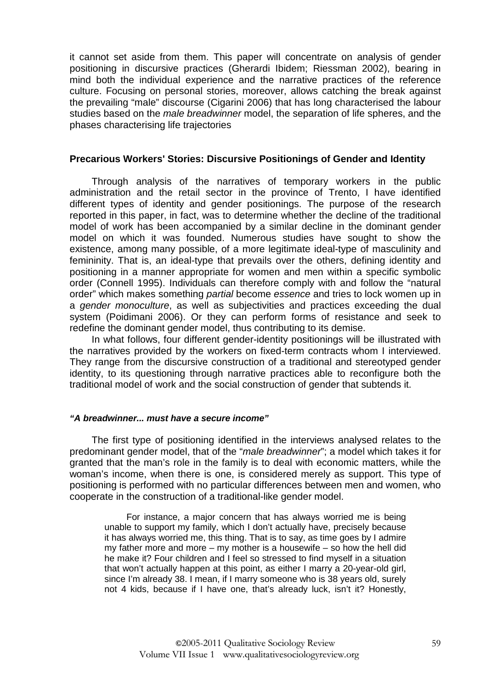it cannot set aside from them. This paper will concentrate on analysis of gender positioning in discursive practices (Gherardi Ibidem; Riessman 2002), bearing in mind both the individual experience and the narrative practices of the reference culture. Focusing on personal stories, moreover, allows catching the break against the prevailing "male" discourse (Cigarini 2006) that has long characterised the labour studies based on the *male breadwinner* model, the separation of life spheres, and the phases characterising life trajectories

### **Precarious Workers' Stories: Discursive Positionings of Gender and Identity**

Through analysis of the narratives of temporary workers in the public administration and the retail sector in the province of Trento, I have identified different types of identity and gender positionings. The purpose of the research reported in this paper, in fact, was to determine whether the decline of the traditional model of work has been accompanied by a similar decline in the dominant gender model on which it was founded. Numerous studies have sought to show the existence, among many possible, of a more legitimate ideal-type of masculinity and femininity. That is, an ideal-type that prevails over the others, defining identity and positioning in a manner appropriate for women and men within a specific symbolic order (Connell 1995). Individuals can therefore comply with and follow the "natural order" which makes something partial become essence and tries to lock women up in a gender monoculture, as well as subjectivities and practices exceeding the dual system (Poidimani 2006). Or they can perform forms of resistance and seek to redefine the dominant gender model, thus contributing to its demise.

In what follows, four different gender-identity positionings will be illustrated with the narratives provided by the workers on fixed-term contracts whom I interviewed. They range from the discursive construction of a traditional and stereotyped gender identity, to its questioning through narrative practices able to reconfigure both the traditional model of work and the social construction of gender that subtends it.

#### **"A breadwinner... must have a secure income"**

The first type of positioning identified in the interviews analysed relates to the predominant gender model, that of the "male breadwinner"; a model which takes it for granted that the man's role in the family is to deal with economic matters, while the woman's income, when there is one, is considered merely as support. This type of positioning is performed with no particular differences between men and women, who cooperate in the construction of a traditional-like gender model.

For instance, a major concern that has always worried me is being unable to support my family, which I don't actually have, precisely because it has always worried me, this thing. That is to say, as time goes by I admire my father more and more – my mother is a housewife – so how the hell did he make it? Four children and I feel so stressed to find myself in a situation that won't actually happen at this point, as either I marry a 20-year-old girl, since I'm already 38. I mean, if I marry someone who is 38 years old, surely not 4 kids, because if I have one, that's already luck, isn't it? Honestly,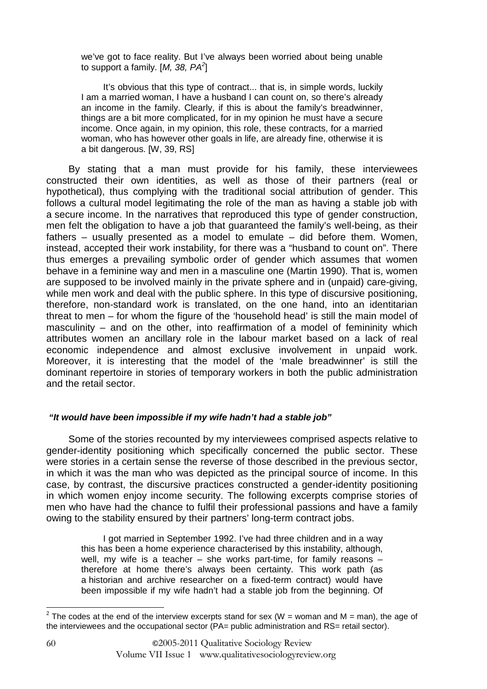we've got to face reality. But I've always been worried about being unable to support a family.  $[M, 38, PA^2]$ 

It's obvious that this type of contract... that is, in simple words, luckily I am a married woman, I have a husband I can count on, so there's already an income in the family. Clearly, if this is about the family's breadwinner, things are a bit more complicated, for in my opinion he must have a secure income. Once again, in my opinion, this role, these contracts, for a married woman, who has however other goals in life, are already fine, otherwise it is a bit dangerous. [W, 39, RS]

By stating that a man must provide for his family, these interviewees constructed their own identities, as well as those of their partners (real or hypothetical), thus complying with the traditional social attribution of gender. This follows a cultural model legitimating the role of the man as having a stable job with a secure income. In the narratives that reproduced this type of gender construction, men felt the obligation to have a job that guaranteed the family's well-being, as their fathers – usually presented as a model to emulate – did before them. Women, instead, accepted their work instability, for there was a "husband to count on". There thus emerges a prevailing symbolic order of gender which assumes that women behave in a feminine way and men in a masculine one (Martin 1990). That is, women are supposed to be involved mainly in the private sphere and in (unpaid) care-giving, while men work and deal with the public sphere. In this type of discursive positioning, therefore, non-standard work is translated, on the one hand, into an identitarian threat to men – for whom the figure of the 'household head' is still the main model of masculinity – and on the other, into reaffirmation of a model of femininity which attributes women an ancillary role in the labour market based on a lack of real economic independence and almost exclusive involvement in unpaid work. Moreover, it is interesting that the model of the 'male breadwinner' is still the dominant repertoire in stories of temporary workers in both the public administration and the retail sector.

### **"It would have been impossible if my wife hadn't had a stable job"**

Some of the stories recounted by my interviewees comprised aspects relative to gender-identity positioning which specifically concerned the public sector. These were stories in a certain sense the reverse of those described in the previous sector, in which it was the man who was depicted as the principal source of income. In this case, by contrast, the discursive practices constructed a gender-identity positioning in which women enjoy income security. The following excerpts comprise stories of men who have had the chance to fulfil their professional passions and have a family owing to the stability ensured by their partners' long-term contract jobs.

I got married in September 1992. I've had three children and in a way this has been a home experience characterised by this instability, although, well, my wife is a teacher – she works part-time, for family reasons – therefore at home there's always been certainty. This work path (as a historian and archive researcher on a fixed-term contract) would have been impossible if my wife hadn't had a stable job from the beginning. Of

 $\overline{a^2}$  The codes at the end of the interview excerpts stand for sex (W = woman and M = man), the age of the interviewees and the occupational sector (PA= public administration and RS= retail sector).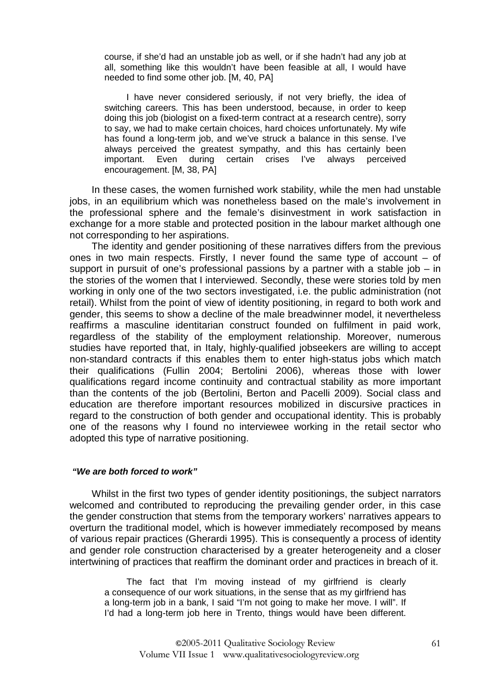course, if she'd had an unstable job as well, or if she hadn't had any job at all, something like this wouldn't have been feasible at all, I would have needed to find some other job. [M, 40, PA]

I have never considered seriously, if not very briefly, the idea of switching careers. This has been understood, because, in order to keep doing this job (biologist on a fixed-term contract at a research centre), sorry to say, we had to make certain choices, hard choices unfortunately. My wife has found a long-term job, and we've struck a balance in this sense. I've always perceived the greatest sympathy, and this has certainly been important. Even during certain crises I've always perceived encouragement. [M, 38, PA]

In these cases, the women furnished work stability, while the men had unstable jobs, in an equilibrium which was nonetheless based on the male's involvement in the professional sphere and the female's disinvestment in work satisfaction in exchange for a more stable and protected position in the labour market although one not corresponding to her aspirations.

The identity and gender positioning of these narratives differs from the previous ones in two main respects. Firstly, I never found the same type of account – of support in pursuit of one's professional passions by a partner with a stable job – in the stories of the women that I interviewed. Secondly, these were stories told by men working in only one of the two sectors investigated, i.e. the public administration (not retail). Whilst from the point of view of identity positioning, in regard to both work and gender, this seems to show a decline of the male breadwinner model, it nevertheless reaffirms a masculine identitarian construct founded on fulfilment in paid work, regardless of the stability of the employment relationship. Moreover, numerous studies have reported that, in Italy, highly-qualified jobseekers are willing to accept non-standard contracts if this enables them to enter high-status jobs which match their qualifications (Fullin 2004; Bertolini 2006), whereas those with lower qualifications regard income continuity and contractual stability as more important than the contents of the job (Bertolini, Berton and Pacelli 2009). Social class and education are therefore important resources mobilized in discursive practices in regard to the construction of both gender and occupational identity. This is probably one of the reasons why I found no interviewee working in the retail sector who adopted this type of narrative positioning.

#### **"We are both forced to work"**

Whilst in the first two types of gender identity positionings, the subject narrators welcomed and contributed to reproducing the prevailing gender order, in this case the gender construction that stems from the temporary workers' narratives appears to overturn the traditional model, which is however immediately recomposed by means of various repair practices (Gherardi 1995). This is consequently a process of identity and gender role construction characterised by a greater heterogeneity and a closer intertwining of practices that reaffirm the dominant order and practices in breach of it.

The fact that I'm moving instead of my girlfriend is clearly a consequence of our work situations, in the sense that as my girlfriend has a long-term job in a bank, I said "I'm not going to make her move. I will". If I'd had a long-term job here in Trento, things would have been different.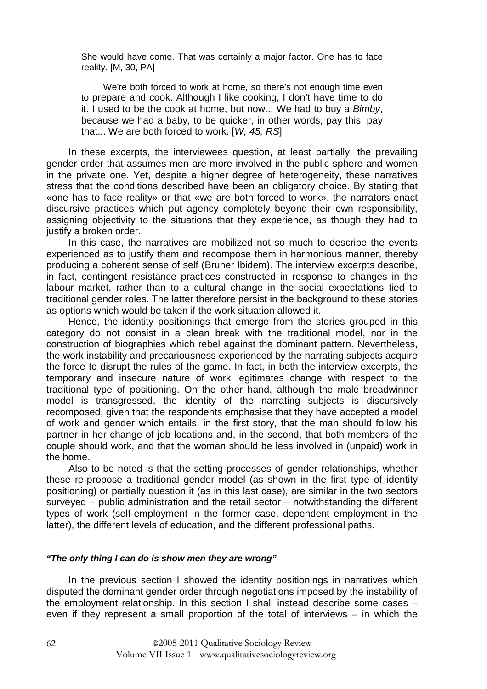She would have come. That was certainly a major factor. One has to face reality. [M, 30, PA]

We're both forced to work at home, so there's not enough time even to prepare and cook. Although I like cooking, I don't have time to do it. I used to be the cook at home, but now... We had to buy a Bimby, because we had a baby, to be quicker, in other words, pay this, pay that... We are both forced to work.  $[W, 45, RS]$ 

In these excerpts, the interviewees question, at least partially, the prevailing gender order that assumes men are more involved in the public sphere and women in the private one. Yet, despite a higher degree of heterogeneity, these narratives stress that the conditions described have been an obligatory choice. By stating that «one has to face reality» or that «we are both forced to work», the narrators enact discursive practices which put agency completely beyond their own responsibility, assigning objectivity to the situations that they experience, as though they had to justify a broken order.

In this case, the narratives are mobilized not so much to describe the events experienced as to justify them and recompose them in harmonious manner, thereby producing a coherent sense of self (Bruner Ibidem). The interview excerpts describe, in fact, contingent resistance practices constructed in response to changes in the labour market, rather than to a cultural change in the social expectations tied to traditional gender roles. The latter therefore persist in the background to these stories as options which would be taken if the work situation allowed it.

Hence, the identity positionings that emerge from the stories grouped in this category do not consist in a clean break with the traditional model, nor in the construction of biographies which rebel against the dominant pattern. Nevertheless, the work instability and precariousness experienced by the narrating subjects acquire the force to disrupt the rules of the game. In fact, in both the interview excerpts, the temporary and insecure nature of work legitimates change with respect to the traditional type of positioning. On the other hand, although the male breadwinner model is transgressed, the identity of the narrating subjects is discursively recomposed, given that the respondents emphasise that they have accepted a model of work and gender which entails, in the first story, that the man should follow his partner in her change of job locations and, in the second, that both members of the couple should work, and that the woman should be less involved in (unpaid) work in the home.

Also to be noted is that the setting processes of gender relationships, whether these re-propose a traditional gender model (as shown in the first type of identity positioning) or partially question it (as in this last case), are similar in the two sectors surveyed – public administration and the retail sector – notwithstanding the different types of work (self-employment in the former case, dependent employment in the latter), the different levels of education, and the different professional paths.

#### **"The only thing I can do is show men they are wrong"**

In the previous section I showed the identity positionings in narratives which disputed the dominant gender order through negotiations imposed by the instability of the employment relationship. In this section I shall instead describe some cases – even if they represent a small proportion of the total of interviews – in which the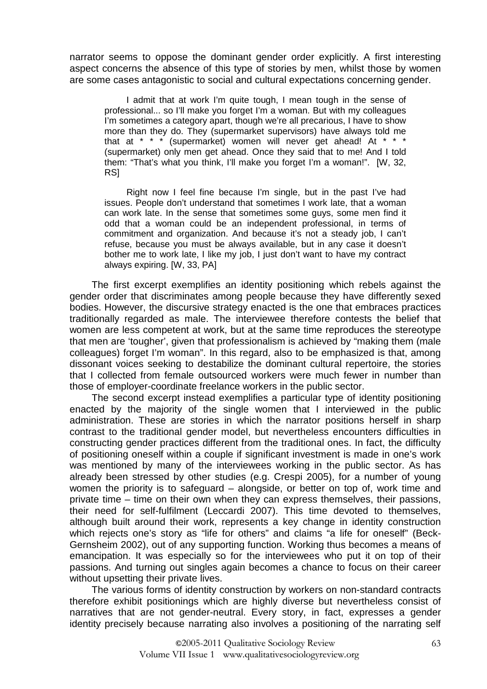narrator seems to oppose the dominant gender order explicitly. A first interesting aspect concerns the absence of this type of stories by men, whilst those by women are some cases antagonistic to social and cultural expectations concerning gender.

I admit that at work I'm quite tough, I mean tough in the sense of professional... so I'll make you forget I'm a woman. But with my colleagues I'm sometimes a category apart, though we're all precarious, I have to show more than they do. They (supermarket supervisors) have always told me that at \* \* \* (supermarket) women will never get ahead! At \* \* \* (supermarket) only men get ahead. Once they said that to me! And I told them: "That's what you think, I'll make you forget I'm a woman!". [W, 32, RS]

Right now I feel fine because I'm single, but in the past I've had issues. People don't understand that sometimes I work late, that a woman can work late. In the sense that sometimes some guys, some men find it odd that a woman could be an independent professional, in terms of commitment and organization. And because it's not a steady job, I can't refuse, because you must be always available, but in any case it doesn't bother me to work late, I like my job, I just don't want to have my contract always expiring. [W, 33, PA]

The first excerpt exemplifies an identity positioning which rebels against the gender order that discriminates among people because they have differently sexed bodies. However, the discursive strategy enacted is the one that embraces practices traditionally regarded as male. The interviewee therefore contests the belief that women are less competent at work, but at the same time reproduces the stereotype that men are 'tougher', given that professionalism is achieved by "making them (male colleagues) forget I'm woman". In this regard, also to be emphasized is that, among dissonant voices seeking to destabilize the dominant cultural repertoire, the stories that I collected from female outsourced workers were much fewer in number than those of employer-coordinate freelance workers in the public sector.

The second excerpt instead exemplifies a particular type of identity positioning enacted by the majority of the single women that I interviewed in the public administration. These are stories in which the narrator positions herself in sharp contrast to the traditional gender model, but nevertheless encounters difficulties in constructing gender practices different from the traditional ones. In fact, the difficulty of positioning oneself within a couple if significant investment is made in one's work was mentioned by many of the interviewees working in the public sector. As has already been stressed by other studies (e.g. Crespi 2005), for a number of young women the priority is to safeguard – alongside, or better on top of, work time and private time – time on their own when they can express themselves, their passions, their need for self-fulfilment (Leccardi 2007). This time devoted to themselves, although built around their work, represents a key change in identity construction which rejects one's story as "life for others" and claims "a life for oneself" (Beck-Gernsheim 2002), out of any supporting function. Working thus becomes a means of emancipation. It was especially so for the interviewees who put it on top of their passions. And turning out singles again becomes a chance to focus on their career without upsetting their private lives.

The various forms of identity construction by workers on non-standard contracts therefore exhibit positionings which are highly diverse but nevertheless consist of narratives that are not gender-neutral. Every story, in fact, expresses a gender identity precisely because narrating also involves a positioning of the narrating self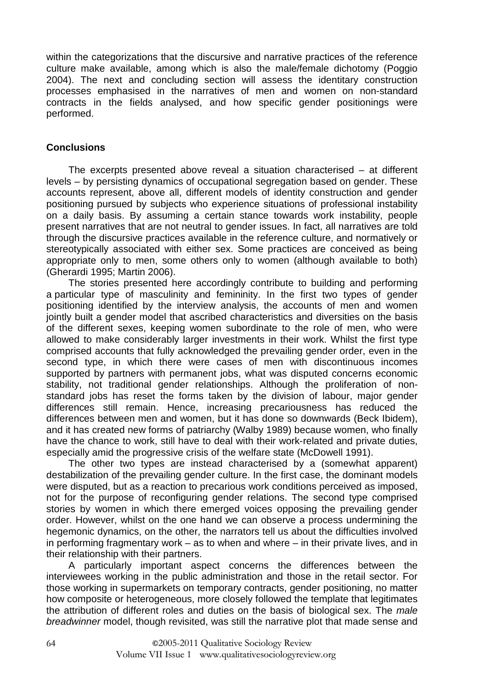within the categorizations that the discursive and narrative practices of the reference culture make available, among which is also the male/female dichotomy (Poggio 2004). The next and concluding section will assess the identitary construction processes emphasised in the narratives of men and women on non-standard contracts in the fields analysed, and how specific gender positionings were performed.

# **Conclusions**

The excerpts presented above reveal a situation characterised – at different levels – by persisting dynamics of occupational segregation based on gender. These accounts represent, above all, different models of identity construction and gender positioning pursued by subjects who experience situations of professional instability on a daily basis. By assuming a certain stance towards work instability, people present narratives that are not neutral to gender issues. In fact, all narratives are told through the discursive practices available in the reference culture, and normatively or stereotypically associated with either sex. Some practices are conceived as being appropriate only to men, some others only to women (although available to both) (Gherardi 1995; Martin 2006).

The stories presented here accordingly contribute to building and performing a particular type of masculinity and femininity. In the first two types of gender positioning identified by the interview analysis, the accounts of men and women jointly built a gender model that ascribed characteristics and diversities on the basis of the different sexes, keeping women subordinate to the role of men, who were allowed to make considerably larger investments in their work. Whilst the first type comprised accounts that fully acknowledged the prevailing gender order, even in the second type, in which there were cases of men with discontinuous incomes supported by partners with permanent jobs, what was disputed concerns economic stability, not traditional gender relationships. Although the proliferation of nonstandard jobs has reset the forms taken by the division of labour, major gender differences still remain. Hence, increasing precariousness has reduced the differences between men and women, but it has done so downwards (Beck Ibidem), and it has created new forms of patriarchy (Walby 1989) because women, who finally have the chance to work, still have to deal with their work-related and private duties, especially amid the progressive crisis of the welfare state (McDowell 1991).

The other two types are instead characterised by a (somewhat apparent) destabilization of the prevailing gender culture. In the first case, the dominant models were disputed, but as a reaction to precarious work conditions perceived as imposed, not for the purpose of reconfiguring gender relations. The second type comprised stories by women in which there emerged voices opposing the prevailing gender order. However, whilst on the one hand we can observe a process undermining the hegemonic dynamics, on the other, the narrators tell us about the difficulties involved in performing fragmentary work – as to when and where – in their private lives, and in their relationship with their partners.

A particularly important aspect concerns the differences between the interviewees working in the public administration and those in the retail sector. For those working in supermarkets on temporary contracts, gender positioning, no matter how composite or heterogeneous, more closely followed the template that legitimates the attribution of different roles and duties on the basis of biological sex. The male breadwinner model, though revisited, was still the narrative plot that made sense and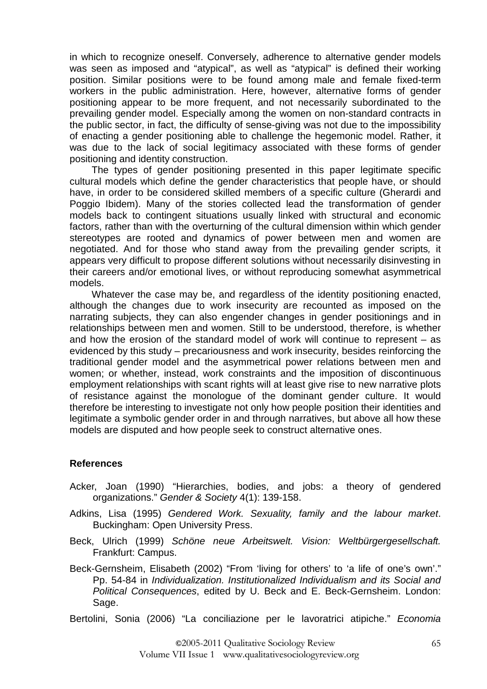in which to recognize oneself. Conversely, adherence to alternative gender models was seen as imposed and "atypical", as well as "atypical" is defined their working position. Similar positions were to be found among male and female fixed-term workers in the public administration. Here, however, alternative forms of gender positioning appear to be more frequent, and not necessarily subordinated to the prevailing gender model. Especially among the women on non-standard contracts in the public sector, in fact, the difficulty of sense-giving was not due to the impossibility of enacting a gender positioning able to challenge the hegemonic model. Rather, it was due to the lack of social legitimacy associated with these forms of gender positioning and identity construction.

The types of gender positioning presented in this paper legitimate specific cultural models which define the gender characteristics that people have, or should have, in order to be considered skilled members of a specific culture (Gherardi and Poggio Ibidem). Many of the stories collected lead the transformation of gender models back to contingent situations usually linked with structural and economic factors, rather than with the overturning of the cultural dimension within which gender stereotypes are rooted and dynamics of power between men and women are negotiated. And for those who stand away from the prevailing gender scripts, it appears very difficult to propose different solutions without necessarily disinvesting in their careers and/or emotional lives, or without reproducing somewhat asymmetrical models.

Whatever the case may be, and regardless of the identity positioning enacted, although the changes due to work insecurity are recounted as imposed on the narrating subjects, they can also engender changes in gender positionings and in relationships between men and women. Still to be understood, therefore, is whether and how the erosion of the standard model of work will continue to represent – as evidenced by this study – precariousness and work insecurity, besides reinforcing the traditional gender model and the asymmetrical power relations between men and women; or whether, instead, work constraints and the imposition of discontinuous employment relationships with scant rights will at least give rise to new narrative plots of resistance against the monologue of the dominant gender culture. It would therefore be interesting to investigate not only how people position their identities and legitimate a symbolic gender order in and through narratives, but above all how these models are disputed and how people seek to construct alternative ones.

## **References**

- Acker, Joan (1990) "Hierarchies, bodies, and jobs: a theory of gendered organizations." Gender & Society 4(1): 139-158.
- Adkins, Lisa (1995) Gendered Work. Sexuality, family and the labour market. Buckingham: Open University Press.
- Beck, Ulrich (1999) Schöne neue Arbeitswelt. Vision: Weltbürgergesellschaft. Frankfurt: Campus.
- Beck-Gernsheim, Elisabeth (2002) "From 'living for others' to 'a life of one's own'." Pp. 54-84 in Individualization. Institutionalized Individualism and its Social and Political Consequences, edited by U. Beck and E. Beck-Gernsheim. London: Sage.

Bertolini, Sonia (2006) "La conciliazione per le lavoratrici atipiche." Economia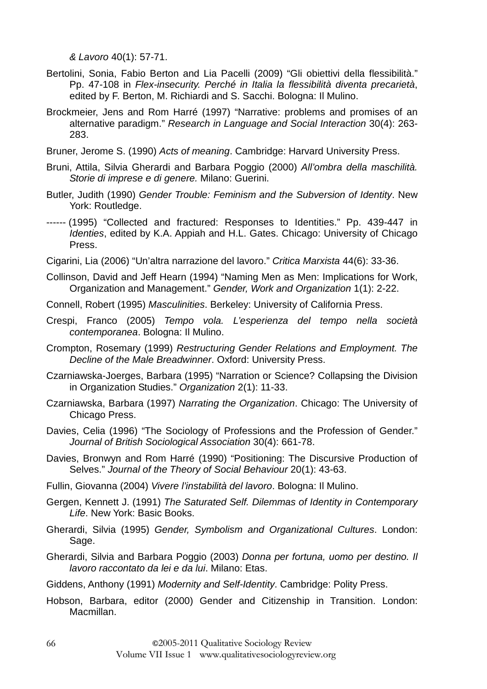& Lavoro 40(1): 57-71.

- Bertolini, Sonia, Fabio Berton and Lia Pacelli (2009) "Gli obiettivi della flessibilità." Pp. 47-108 in Flex-insecurity. Perché in Italia la flessibilità diventa precarietà, edited by F. Berton, M. Richiardi and S. Sacchi. Bologna: Il Mulino.
- Brockmeier, Jens and Rom Harré (1997) "Narrative: problems and promises of an alternative paradigm." Research in Language and Social Interaction 30(4): 263- 283.
- Bruner, Jerome S. (1990) Acts of meaning. Cambridge: Harvard University Press.
- Bruni, Attila, Silvia Gherardi and Barbara Poggio (2000) All'ombra della maschilità. Storie di imprese e di genere. Milano: Guerini.
- Butler, Judith (1990) Gender Trouble: Feminism and the Subversion of Identity. New York: Routledge.
- ------ (1995) "Collected and fractured: Responses to Identities." Pp. 439-447 in Identies, edited by K.A. Appiah and H.L. Gates. Chicago: University of Chicago Press.
- Cigarini, Lia (2006) "Un'altra narrazione del lavoro." Critica Marxista 44(6): 33-36.
- Collinson, David and Jeff Hearn (1994) "Naming Men as Men: Implications for Work, Organization and Management." Gender, Work and Organization 1(1): 2-22.
- Connell, Robert (1995) Masculinities. Berkeley: University of California Press.
- Crespi, Franco (2005) Tempo vola. L'esperienza del tempo nella società contemporanea. Bologna: Il Mulino.
- Crompton, Rosemary (1999) Restructuring Gender Relations and Employment. The Decline of the Male Breadwinner. Oxford: University Press.
- Czarniawska-Joerges, Barbara (1995) "Narration or Science? Collapsing the Division in Organization Studies." Organization 2(1): 11-33.
- Czarniawska, Barbara (1997) Narrating the Organization. Chicago: The University of Chicago Press.
- Davies, Celia (1996) "The Sociology of Professions and the Profession of Gender." Journal of British Sociological Association 30(4): 661-78.
- Davies, Bronwyn and Rom Harré (1990) "Positioning: The Discursive Production of Selves." Journal of the Theory of Social Behaviour 20(1): 43-63.
- Fullin, Giovanna (2004) Vivere l'instabilità del lavoro. Bologna: Il Mulino.
- Gergen, Kennett J. (1991) The Saturated Self. Dilemmas of Identity in Contemporary Life. New York: Basic Books.
- Gherardi, Silvia (1995) Gender, Symbolism and Organizational Cultures. London: Sage.
- Gherardi, Silvia and Barbara Poggio (2003) Donna per fortuna, uomo per destino. Il lavoro raccontato da lei e da lui. Milano: Etas.
- Giddens, Anthony (1991) Modernity and Self-Identity. Cambridge: Polity Press.
- Hobson, Barbara, editor (2000) Gender and Citizenship in Transition. London: Macmillan.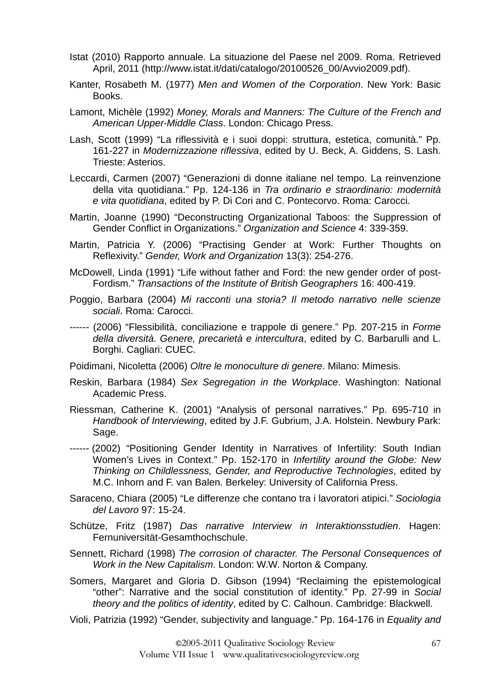- Istat (2010) Rapporto annuale. La situazione del Paese nel 2009. Roma. Retrieved April, 2011 (http://www.istat.it/dati/catalogo/20100526\_00/Avvio2009.pdf).
- Kanter, Rosabeth M. (1977) Men and Women of the Corporation. New York: Basic Books.
- Lamont, Michèle (1992) Money, Morals and Manners: The Culture of the French and American Upper-Middle Class. London: Chicago Press.
- Lash, Scott (1999) "La riflessività e i suoi doppi: struttura, estetica, comunità." Pp. 161-227 in Modernizzazione riflessiva, edited by U. Beck, A. Giddens, S. Lash. Trieste: Asterios.
- Leccardi, Carmen (2007) "Generazioni di donne italiane nel tempo. La reinvenzione della vita quotidiana." Pp. 124-136 in Tra ordinario e straordinario: modernità e vita quotidiana, edited by P. Di Cori and C. Pontecorvo. Roma: Carocci.
- Martin, Joanne (1990) "Deconstructing Organizational Taboos: the Suppression of Gender Conflict in Organizations." Organization and Science 4: 339-359.
- Martin, Patricia Y. (2006) "Practising Gender at Work: Further Thoughts on Reflexivity." Gender, Work and Organization 13(3): 254-276.
- McDowell, Linda (1991) "Life without father and Ford: the new gender order of post-Fordism." Transactions of the Institute of British Geographers 16: 400-419.
- Poggio, Barbara (2004) Mi racconti una storia? Il metodo narrativo nelle scienze sociali. Roma: Carocci.
- ------ (2006) "Flessibilità, conciliazione e trappole di genere." Pp. 207-215 in Forme della diversità. Genere, precarietà e intercultura, edited by C. Barbarulli and L. Borghi. Cagliari: CUEC.
- Poidimani, Nicoletta (2006) Oltre le monoculture di genere. Milano: Mimesis.
- Reskin, Barbara (1984) Sex Segregation in the Workplace. Washington: National Academic Press.
- Riessman, Catherine K. (2001) "Analysis of personal narratives." Pp. 695-710 in Handbook of Interviewing, edited by J.F. Gubrium, J.A. Holstein. Newbury Park: Sage.
- ------ (2002) "Positioning Gender Identity in Narratives of Infertility: South Indian Women's Lives in Context." Pp. 152-170 in Infertility around the Globe: New Thinking on Childlessness, Gender, and Reproductive Technologies, edited by M.C. Inhorn and F. van Balen. Berkeley: University of California Press.
- Saraceno, Chiara (2005) "Le differenze che contano tra i lavoratori atipici." Sociologia del Lavoro 97: 15-24.
- Schütze, Fritz (1987) Das narrative Interview in Interaktionsstudien. Hagen: Fernuniversität-Gesamthochschule.
- Sennett, Richard (1998) The corrosion of character. The Personal Consequences of Work in the New Capitalism. London: W.W. Norton & Company.
- Somers, Margaret and Gloria D. Gibson (1994) "Reclaiming the epistemological "other": Narrative and the social constitution of identity." Pp. 27-99 in Social theory and the politics of identity, edited by C. Calhoun. Cambridge: Blackwell.
- Violi, Patrizia (1992) "Gender, subjectivity and language." Pp. 164-176 in Equality and